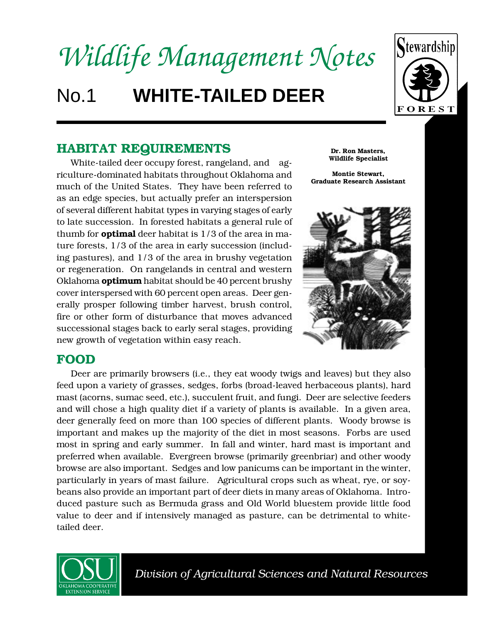# *Wildlife Management Notes* No.1 **WHITE-TAILED DEER**



## **HABITAT REQUIREMENTS**

White-tailed deer occupy forest, rangeland, and agriculture-dominated habitats throughout Oklahoma and much of the United States. They have been referred to as an edge species, but actually prefer an interspersion of several different habitat types in varying stages of early to late succession. In forested habitats a general rule of thumb for **optimal** deer habitat is 1/3 of the area in mature forests, 1/3 of the area in early succession (including pastures), and 1/3 of the area in brushy vegetation or regeneration. On rangelands in central and western Oklahoma **optimum** habitat should be 40 percent brushy cover interspersed with 60 percent open areas. Deer generally prosper following timber harvest, brush control, fire or other form of disturbance that moves advanced successional stages back to early seral stages, providing new growth of vegetation within easy reach.

## **FOOD**

Deer are primarily browsers (i.e., they eat woody twigs and leaves) but they also feed upon a variety of grasses, sedges, forbs (broad-leaved herbaceous plants), hard mast (acorns, sumac seed, etc.), succulent fruit, and fungi. Deer are selective feeders and will chose a high quality diet if a variety of plants is available. In a given area, deer generally feed on more than 100 species of different plants. Woody browse is important and makes up the majority of the diet in most seasons. Forbs are used most in spring and early summer. In fall and winter, hard mast is important and preferred when available. Evergreen browse (primarily greenbriar) and other woody browse are also important. Sedges and low panicums can be important in the winter, particularly in years of mast failure. Agricultural crops such as wheat, rye, or soybeans also provide an important part of deer diets in many areas of Oklahoma. Introduced pasture such as Bermuda grass and Old World bluestem provide little food value to deer and if intensively managed as pasture, can be detrimental to whitetailed deer.



 *Division of Agricultural Sciences and Natural Resources*

**Dr. Ron Masters, Wildlife Specialist**

**Montie Stewart, Graduate Research Assistant**

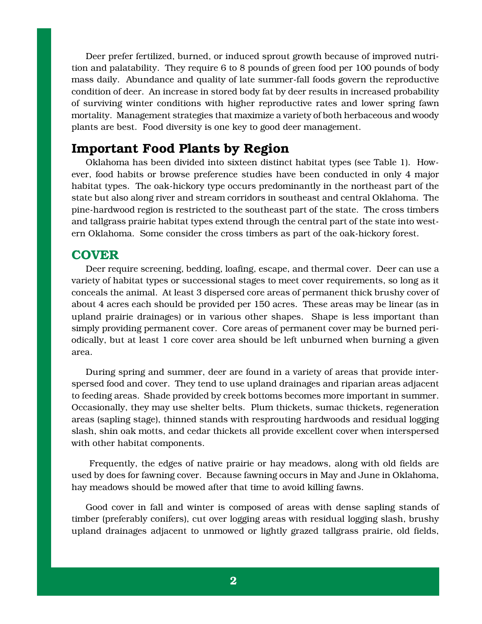Deer prefer fertilized, burned, or induced sprout growth because of improved nutrition and palatability. They require 6 to 8 pounds of green food per 100 pounds of body mass daily. Abundance and quality of late summer-fall foods govern the reproductive condition of deer. An increase in stored body fat by deer results in increased probability of surviving winter conditions with higher reproductive rates and lower spring fawn mortality. Management strategies that maximize a variety of both herbaceous and woody plants are best. Food diversity is one key to good deer management.

## **Important Food Plants by Region**

Oklahoma has been divided into sixteen distinct habitat types (see Table 1). However, food habits or browse preference studies have been conducted in only 4 major habitat types. The oak-hickory type occurs predominantly in the northeast part of the state but also along river and stream corridors in southeast and central Oklahoma. The pine-hardwood region is restricted to the southeast part of the state. The cross timbers and tallgrass prairie habitat types extend through the central part of the state into western Oklahoma. Some consider the cross timbers as part of the oak-hickory forest.

## **COVER**

Deer require screening, bedding, loafing, escape, and thermal cover. Deer can use a variety of habitat types or successional stages to meet cover requirements, so long as it conceals the animal. At least 3 dispersed core areas of permanent thick brushy cover of about 4 acres each should be provided per 150 acres. These areas may be linear (as in upland prairie drainages) or in various other shapes. Shape is less important than simply providing permanent cover. Core areas of permanent cover may be burned periodically, but at least 1 core cover area should be left unburned when burning a given area.

During spring and summer, deer are found in a variety of areas that provide interspersed food and cover. They tend to use upland drainages and riparian areas adjacent to feeding areas. Shade provided by creek bottoms becomes more important in summer. Occasionally, they may use shelter belts. Plum thickets, sumac thickets, regeneration areas (sapling stage), thinned stands with resprouting hardwoods and residual logging slash, shin oak motts, and cedar thickets all provide excellent cover when interspersed with other habitat components.

 Frequently, the edges of native prairie or hay meadows, along with old fields are used by does for fawning cover. Because fawning occurs in May and June in Oklahoma, hay meadows should be mowed after that time to avoid killing fawns.

Good cover in fall and winter is composed of areas with dense sapling stands of timber (preferably conifers), cut over logging areas with residual logging slash, brushy upland drainages adjacent to unmowed or lightly grazed tallgrass prairie, old fields,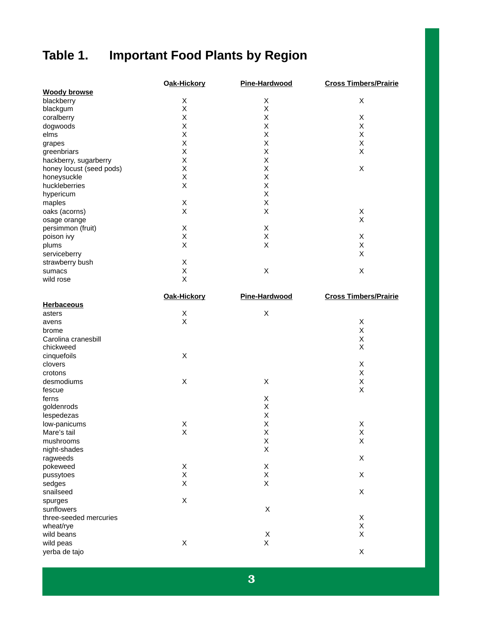## **Table 1. Important Food Plants by Region**

|                          | Oak-Hickory | Pine-Hardwood | <b>Cross Timbers/Prairie</b> |
|--------------------------|-------------|---------------|------------------------------|
| <b>Woody browse</b>      |             |               |                              |
| blackberry               | X           | Χ             | Χ                            |
| blackgum                 | X           | X             |                              |
| coralberry               | X           | Χ             | Χ                            |
| dogwoods                 | X           | Χ             | Χ                            |
| elms                     | X           | X             | X                            |
| grapes                   | X           | X             | Χ                            |
| greenbriars              | X           | X             | Χ                            |
| hackberry, sugarberry    | X           | Χ             |                              |
| honey locust (seed pods) | X           | X             | X                            |
| honeysuckle              | X           | Χ             |                              |
| huckleberries            | X           | Χ             |                              |
| hypericum                |             | Χ             |                              |
| maples                   | X           | X             |                              |
| oaks (acorns)            | X           | X             | Χ                            |
| osage orange             |             |               | Χ                            |
| persimmon (fruit)        | X           | X             |                              |
| poison ivy               | Χ           | X             | Χ                            |
| plums                    | X           | X             | X                            |
| serviceberry             |             |               | X                            |
| strawberry bush          | X           |               |                              |
| sumacs                   | X           | Χ             | Χ                            |
| wild rose                | X           |               |                              |

|                        | Oak-Hickory | Pine-Hardwood | <b>Cross Timbers/Prairie</b> |
|------------------------|-------------|---------------|------------------------------|
| <b>Herbaceous</b>      |             |               |                              |
| asters                 | X           | X             |                              |
| avens                  | X           |               | $\mathsf X$                  |
| brome                  |             |               | $\sf X$                      |
| Carolina cranesbill    |             |               | $\sf X$                      |
| chickweed              |             |               | X                            |
| cinquefoils            | $\mathsf X$ |               |                              |
| clovers                |             |               | X                            |
| crotons                |             |               | $\sf X$                      |
| desmodiums             | $\sf X$     | X             | $\mathsf X$                  |
| fescue                 |             |               | $\mathsf{X}$                 |
| ferns                  |             | X             |                              |
| goldenrods             |             | X             |                              |
| lespedezas             |             | X             |                              |
| low-panicums           | Χ           | Χ             | X                            |
| Mare's tail            | X           | Χ             | $\mathsf X$                  |
| mushrooms              |             | X             | $\sf X$                      |
| night-shades           |             | X             |                              |
| ragweeds               |             |               | X                            |
| pokeweed               | X           | X             |                              |
| pussytoes              | X           | X             | X                            |
| sedges                 | X           | X             |                              |
| snailseed              |             |               | X                            |
| spurges                | $\sf X$     |               |                              |
| sunflowers             |             | $\sf X$       |                              |
| three-seeded mercuries |             |               | X                            |
| wheat/rye              |             |               | $\mathsf X$                  |
| wild beans             |             | X             | $\sf X$                      |
| wild peas              | X           | X             |                              |
| yerba de tajo          |             |               | X                            |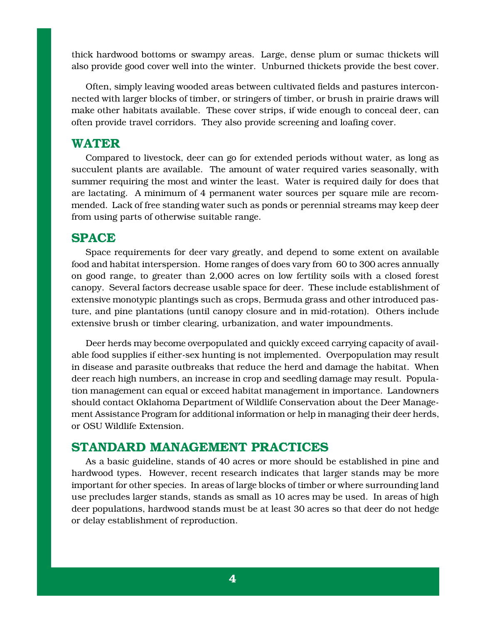thick hardwood bottoms or swampy areas. Large, dense plum or sumac thickets will also provide good cover well into the winter. Unburned thickets provide the best cover.

Often, simply leaving wooded areas between cultivated fields and pastures interconnected with larger blocks of timber, or stringers of timber, or brush in prairie draws will make other habitats available. These cover strips, if wide enough to conceal deer, can often provide travel corridors. They also provide screening and loafing cover.

## **WATER**

Compared to livestock, deer can go for extended periods without water, as long as succulent plants are available. The amount of water required varies seasonally, with summer requiring the most and winter the least. Water is required daily for does that are lactating. A minimum of 4 permanent water sources per square mile are recommended. Lack of free standing water such as ponds or perennial streams may keep deer from using parts of otherwise suitable range.

## **SPACE**

Space requirements for deer vary greatly, and depend to some extent on available food and habitat interspersion. Home ranges of does vary from 60 to 300 acres annually on good range, to greater than 2,000 acres on low fertility soils with a closed forest canopy. Several factors decrease usable space for deer. These include establishment of extensive monotypic plantings such as crops, Bermuda grass and other introduced pasture, and pine plantations (until canopy closure and in mid-rotation). Others include extensive brush or timber clearing, urbanization, and water impoundments.

Deer herds may become overpopulated and quickly exceed carrying capacity of available food supplies if either-sex hunting is not implemented. Overpopulation may result in disease and parasite outbreaks that reduce the herd and damage the habitat. When deer reach high numbers, an increase in crop and seedling damage may result. Population management can equal or exceed habitat management in importance. Landowners should contact Oklahoma Department of Wildlife Conservation about the Deer Management Assistance Program for additional information or help in managing their deer herds, or OSU Wildlife Extension.

## **STANDARD MANAGEMENT PRACTICES**

As a basic guideline, stands of 40 acres or more should be established in pine and hardwood types. However, recent research indicates that larger stands may be more important for other species. In areas of large blocks of timber or where surrounding land use precludes larger stands, stands as small as 10 acres may be used. In areas of high deer populations, hardwood stands must be at least 30 acres so that deer do not hedge or delay establishment of reproduction.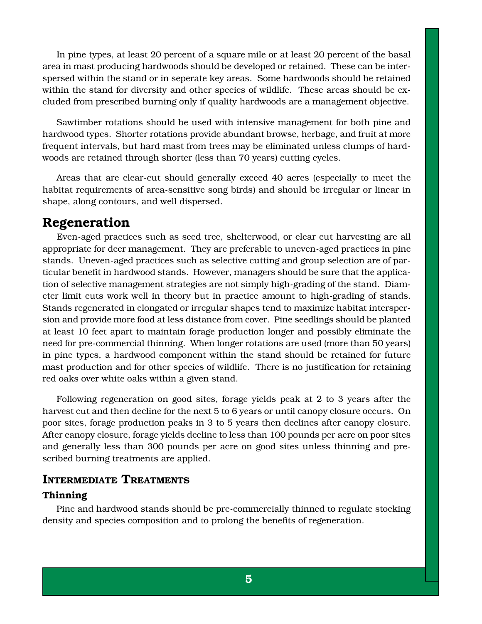In pine types, at least 20 percent of a square mile or at least 20 percent of the basal area in mast producing hardwoods should be developed or retained. These can be interspersed within the stand or in seperate key areas. Some hardwoods should be retained within the stand for diversity and other species of wildlife. These areas should be excluded from prescribed burning only if quality hardwoods are a management objective.

Sawtimber rotations should be used with intensive management for both pine and hardwood types. Shorter rotations provide abundant browse, herbage, and fruit at more frequent intervals, but hard mast from trees may be eliminated unless clumps of hardwoods are retained through shorter (less than 70 years) cutting cycles.

Areas that are clear-cut should generally exceed 40 acres (especially to meet the habitat requirements of area-sensitive song birds) and should be irregular or linear in shape, along contours, and well dispersed.

## **Regeneration**

Even-aged practices such as seed tree, shelterwood, or clear cut harvesting are all appropriate for deer management. They are preferable to uneven-aged practices in pine stands. Uneven-aged practices such as selective cutting and group selection are of particular benefit in hardwood stands. However, managers should be sure that the application of selective management strategies are not simply high-grading of the stand. Diameter limit cuts work well in theory but in practice amount to high-grading of stands. Stands regenerated in elongated or irregular shapes tend to maximize habitat interspersion and provide more food at less distance from cover. Pine seedlings should be planted at least 10 feet apart to maintain forage production longer and possibly eliminate the need for pre-commercial thinning. When longer rotations are used (more than 50 years) in pine types, a hardwood component within the stand should be retained for future mast production and for other species of wildlife. There is no justification for retaining red oaks over white oaks within a given stand.

Following regeneration on good sites, forage yields peak at 2 to 3 years after the harvest cut and then decline for the next 5 to 6 years or until canopy closure occurs. On poor sites, forage production peaks in 3 to 5 years then declines after canopy closure. After canopy closure, forage yields decline to less than 100 pounds per acre on poor sites and generally less than 300 pounds per acre on good sites unless thinning and prescribed burning treatments are applied.

### **INTERMEDIATE TREATMENTS**

#### **Thinning**

Pine and hardwood stands should be pre-commercially thinned to regulate stocking density and species composition and to prolong the benefits of regeneration.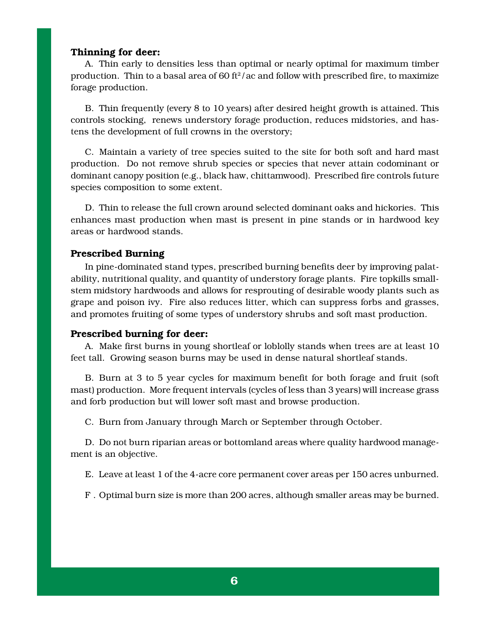#### **Thinning for deer:**

A. Thin early to densities less than optimal or nearly optimal for maximum timber production. Thin to a basal area of 60 ft $2/$  ac and follow with prescribed fire, to maximize forage production.

B. Thin frequently (every 8 to 10 years) after desired height growth is attained. This controls stocking, renews understory forage production, reduces midstories, and hastens the development of full crowns in the overstory;

C. Maintain a variety of tree species suited to the site for both soft and hard mast production. Do not remove shrub species or species that never attain codominant or dominant canopy position (e.g., black haw, chittamwood). Prescribed fire controls future species composition to some extent.

D. Thin to release the full crown around selected dominant oaks and hickories. This enhances mast production when mast is present in pine stands or in hardwood key areas or hardwood stands.

#### **Prescribed Burning**

In pine-dominated stand types, prescribed burning benefits deer by improving palatability, nutritional quality, and quantity of understory forage plants. Fire topkills smallstem midstory hardwoods and allows for resprouting of desirable woody plants such as grape and poison ivy. Fire also reduces litter, which can suppress forbs and grasses, and promotes fruiting of some types of understory shrubs and soft mast production.

#### **Prescribed burning for deer:**

A. Make first burns in young shortleaf or loblolly stands when trees are at least 10 feet tall. Growing season burns may be used in dense natural shortleaf stands.

B. Burn at 3 to 5 year cycles for maximum benefit for both forage and fruit (soft mast) production. More frequent intervals (cycles of less than 3 years) will increase grass and forb production but will lower soft mast and browse production.

C. Burn from January through March or September through October.

D. Do not burn riparian areas or bottomland areas where quality hardwood management is an objective.

E. Leave at least 1 of the 4-acre core permanent cover areas per 150 acres unburned.

F . Optimal burn size is more than 200 acres, although smaller areas may be burned.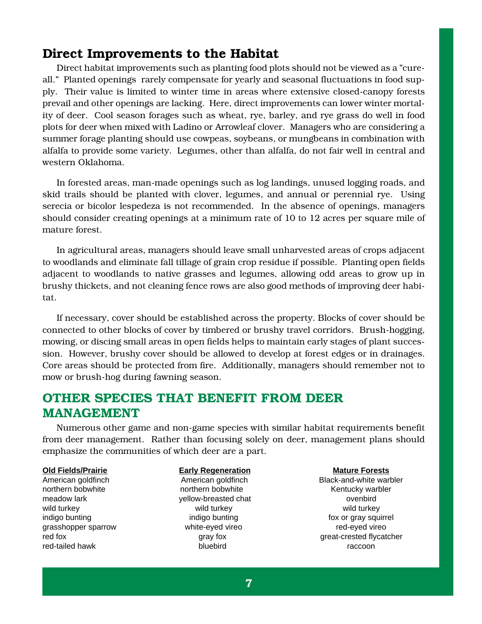## **Direct Improvements to the Habitat**

Direct habitat improvements such as planting food plots should not be viewed as a "cureall." Planted openings rarely compensate for yearly and seasonal fluctuations in food supply. Their value is limited to winter time in areas where extensive closed-canopy forests prevail and other openings are lacking. Here, direct improvements can lower winter mortality of deer. Cool season forages such as wheat, rye, barley, and rye grass do well in food plots for deer when mixed with Ladino or Arrowleaf clover. Managers who are considering a summer forage planting should use cowpeas, soybeans, or mungbeans in combination with alfalfa to provide some variety. Legumes, other than alfalfa, do not fair well in central and western Oklahoma.

In forested areas, man-made openings such as log landings, unused logging roads, and skid trails should be planted with clover, legumes, and annual or perennial rye. Using serecia or bicolor lespedeza is not recommended. In the absence of openings, managers should consider creating openings at a minimum rate of 10 to 12 acres per square mile of mature forest.

In agricultural areas, managers should leave small unharvested areas of crops adjacent to woodlands and eliminate fall tillage of grain crop residue if possible. Planting open fields adjacent to woodlands to native grasses and legumes, allowing odd areas to grow up in brushy thickets, and not cleaning fence rows are also good methods of improving deer habitat.

If necessary, cover should be established across the property. Blocks of cover should be connected to other blocks of cover by timbered or brushy travel corridors. Brush-hogging, mowing, or discing small areas in open fields helps to maintain early stages of plant succession. However, brushy cover should be allowed to develop at forest edges or in drainages. Core areas should be protected from fire. Additionally, managers should remember not to mow or brush-hog during fawning season.

## **OTHER SPECIES THAT BENEFIT FROM DEER MANAGEMENT**

Numerous other game and non-game species with similar habitat requirements benefit from deer management. Rather than focusing solely on deer, management plans should emphasize the communities of which deer are a part.

northern bobwhite **northern bobwhite** northern bobwhite **Kentucky warbler** meadow lark **butter over the set of the vertice of the vertice over the vertice over the vertice over the vertice** wild turkey wild turkey wild turkey wild turkey wild turkey grasshopper sparrow **by the eyed vireo** white-eyed vireo red-eyed vireo red-tailed hawk bluebird raccoon

**Old Fields/Prairie Early Regeneration Mature Forests** American goldfinch **American goldfinch** Black-and-white warbler indigo bunting indigo bunting indigo bunting indigo bunting fox or gray squirrel red fox gray fox gray fox great-crested flycatcher